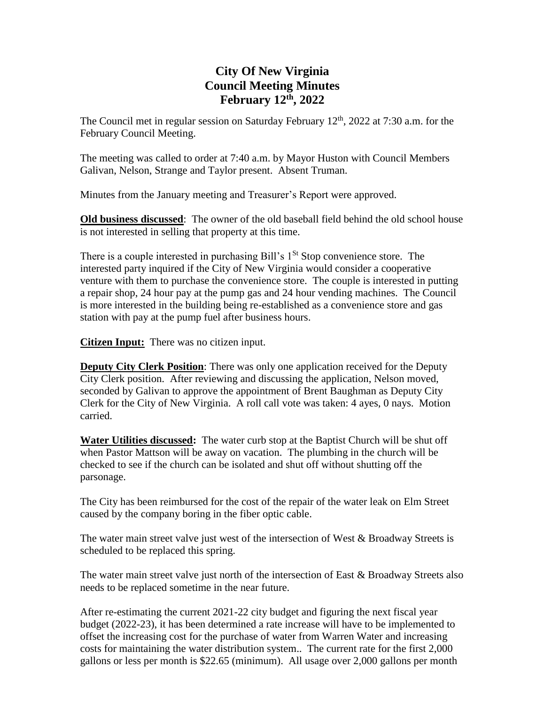## **City Of New Virginia Council Meeting Minutes February 12th , 2022**

The Council met in regular session on Saturday February  $12<sup>th</sup>$ , 2022 at 7:30 a.m. for the February Council Meeting.

The meeting was called to order at 7:40 a.m. by Mayor Huston with Council Members Galivan, Nelson, Strange and Taylor present. Absent Truman.

Minutes from the January meeting and Treasurer's Report were approved.

**Old business discussed**: The owner of the old baseball field behind the old school house is not interested in selling that property at this time.

There is a couple interested in purchasing Bill's  $1<sup>St</sup>$  Stop convenience store. The interested party inquired if the City of New Virginia would consider a cooperative venture with them to purchase the convenience store. The couple is interested in putting a repair shop, 24 hour pay at the pump gas and 24 hour vending machines. The Council is more interested in the building being re-established as a convenience store and gas station with pay at the pump fuel after business hours.

**Citizen Input:** There was no citizen input.

**Deputy City Clerk Position:** There was only one application received for the Deputy City Clerk position. After reviewing and discussing the application, Nelson moved, seconded by Galivan to approve the appointment of Brent Baughman as Deputy City Clerk for the City of New Virginia. A roll call vote was taken: 4 ayes, 0 nays. Motion carried.

**Water Utilities discussed:** The water curb stop at the Baptist Church will be shut off when Pastor Mattson will be away on vacation. The plumbing in the church will be checked to see if the church can be isolated and shut off without shutting off the parsonage.

The City has been reimbursed for the cost of the repair of the water leak on Elm Street caused by the company boring in the fiber optic cable.

The water main street valve just west of the intersection of West  $\&$  Broadway Streets is scheduled to be replaced this spring.

The water main street valve just north of the intersection of East & Broadway Streets also needs to be replaced sometime in the near future.

After re-estimating the current 2021-22 city budget and figuring the next fiscal year budget (2022-23), it has been determined a rate increase will have to be implemented to offset the increasing cost for the purchase of water from Warren Water and increasing costs for maintaining the water distribution system.. The current rate for the first 2,000 gallons or less per month is \$22.65 (minimum). All usage over 2,000 gallons per month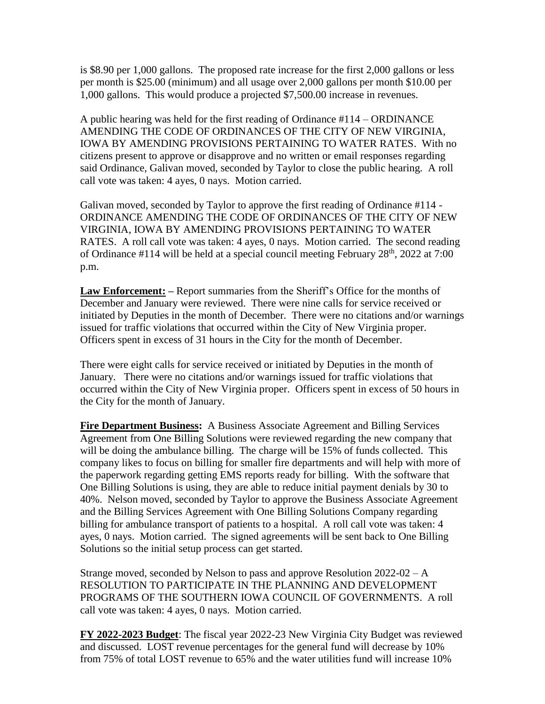is \$8.90 per 1,000 gallons. The proposed rate increase for the first 2,000 gallons or less per month is \$25.00 (minimum) and all usage over 2,000 gallons per month \$10.00 per 1,000 gallons. This would produce a projected \$7,500.00 increase in revenues.

A public hearing was held for the first reading of Ordinance #114 – ORDINANCE AMENDING THE CODE OF ORDINANCES OF THE CITY OF NEW VIRGINIA, IOWA BY AMENDING PROVISIONS PERTAINING TO WATER RATES. With no citizens present to approve or disapprove and no written or email responses regarding said Ordinance, Galivan moved, seconded by Taylor to close the public hearing. A roll call vote was taken: 4 ayes, 0 nays. Motion carried.

Galivan moved, seconded by Taylor to approve the first reading of Ordinance #114 - ORDINANCE AMENDING THE CODE OF ORDINANCES OF THE CITY OF NEW VIRGINIA, IOWA BY AMENDING PROVISIONS PERTAINING TO WATER RATES. A roll call vote was taken: 4 ayes, 0 nays. Motion carried. The second reading of Ordinance  $\#114$  will be held at a special council meeting February 28<sup>th</sup>, 2022 at 7:00 p.m.

**Law Enforcement: –** Report summaries from the Sheriff's Office for the months of December and January were reviewed. There were nine calls for service received or initiated by Deputies in the month of December. There were no citations and/or warnings issued for traffic violations that occurred within the City of New Virginia proper. Officers spent in excess of 31 hours in the City for the month of December.

There were eight calls for service received or initiated by Deputies in the month of January. There were no citations and/or warnings issued for traffic violations that occurred within the City of New Virginia proper. Officers spent in excess of 50 hours in the City for the month of January.

**Fire Department Business:** A Business Associate Agreement and Billing Services Agreement from One Billing Solutions were reviewed regarding the new company that will be doing the ambulance billing. The charge will be 15% of funds collected. This company likes to focus on billing for smaller fire departments and will help with more of the paperwork regarding getting EMS reports ready for billing. With the software that One Billing Solutions is using, they are able to reduce initial payment denials by 30 to 40%. Nelson moved, seconded by Taylor to approve the Business Associate Agreement and the Billing Services Agreement with One Billing Solutions Company regarding billing for ambulance transport of patients to a hospital. A roll call vote was taken: 4 ayes, 0 nays. Motion carried. The signed agreements will be sent back to One Billing Solutions so the initial setup process can get started.

Strange moved, seconded by Nelson to pass and approve Resolution  $2022-02 - A$ RESOLUTION TO PARTICIPATE IN THE PLANNING AND DEVELOPMENT PROGRAMS OF THE SOUTHERN IOWA COUNCIL OF GOVERNMENTS. A roll call vote was taken: 4 ayes, 0 nays. Motion carried.

**FY 2022-2023 Budget**: The fiscal year 2022-23 New Virginia City Budget was reviewed and discussed. LOST revenue percentages for the general fund will decrease by 10% from 75% of total LOST revenue to 65% and the water utilities fund will increase 10%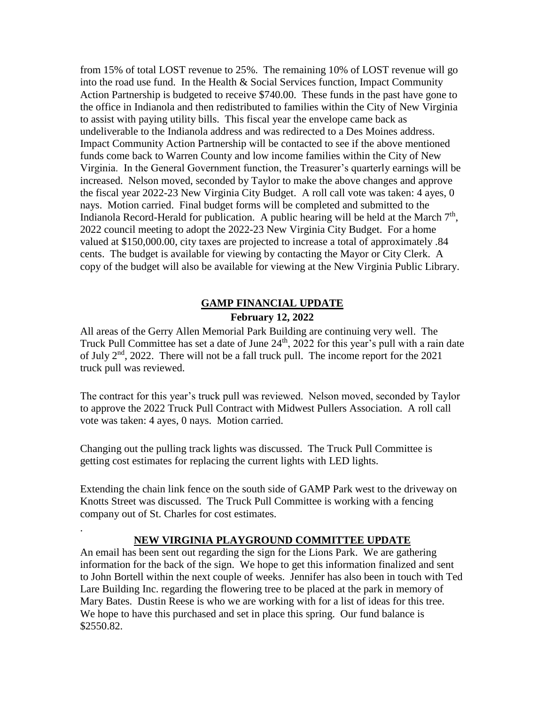from 15% of total LOST revenue to 25%. The remaining 10% of LOST revenue will go into the road use fund. In the Health & Social Services function, Impact Community Action Partnership is budgeted to receive \$740.00. These funds in the past have gone to the office in Indianola and then redistributed to families within the City of New Virginia to assist with paying utility bills. This fiscal year the envelope came back as undeliverable to the Indianola address and was redirected to a Des Moines address. Impact Community Action Partnership will be contacted to see if the above mentioned funds come back to Warren County and low income families within the City of New Virginia. In the General Government function, the Treasurer's quarterly earnings will be increased. Nelson moved, seconded by Taylor to make the above changes and approve the fiscal year 2022-23 New Virginia City Budget. A roll call vote was taken: 4 ayes, 0 nays. Motion carried. Final budget forms will be completed and submitted to the Indianola Record-Herald for publication. A public hearing will be held at the March  $7<sup>th</sup>$ , 2022 council meeting to adopt the 2022-23 New Virginia City Budget. For a home valued at \$150,000.00, city taxes are projected to increase a total of approximately .84 cents. The budget is available for viewing by contacting the Mayor or City Clerk. A copy of the budget will also be available for viewing at the New Virginia Public Library.

## **GAMP FINANCIAL UPDATE February 12, 2022**

All areas of the Gerry Allen Memorial Park Building are continuing very well. The Truck Pull Committee has set a date of June 24<sup>th</sup>, 2022 for this year's pull with a rain date of July 2<sup>nd</sup>, 2022. There will not be a fall truck pull. The income report for the 2021 truck pull was reviewed.

The contract for this year's truck pull was reviewed. Nelson moved, seconded by Taylor to approve the 2022 Truck Pull Contract with Midwest Pullers Association. A roll call vote was taken: 4 ayes, 0 nays. Motion carried.

Changing out the pulling track lights was discussed. The Truck Pull Committee is getting cost estimates for replacing the current lights with LED lights.

.

Extending the chain link fence on the south side of GAMP Park west to the driveway on Knotts Street was discussed. The Truck Pull Committee is working with a fencing company out of St. Charles for cost estimates.

## **NEW VIRGINIA PLAYGROUND COMMITTEE UPDATE**

An email has been sent out regarding the sign for the Lions Park. We are gathering information for the back of the sign. We hope to get this information finalized and sent to John Bortell within the next couple of weeks. Jennifer has also been in touch with Ted Lare Building Inc. regarding the flowering tree to be placed at the park in memory of Mary Bates. Dustin Reese is who we are working with for a list of ideas for this tree. We hope to have this purchased and set in place this spring. Our fund balance is \$2550.82.